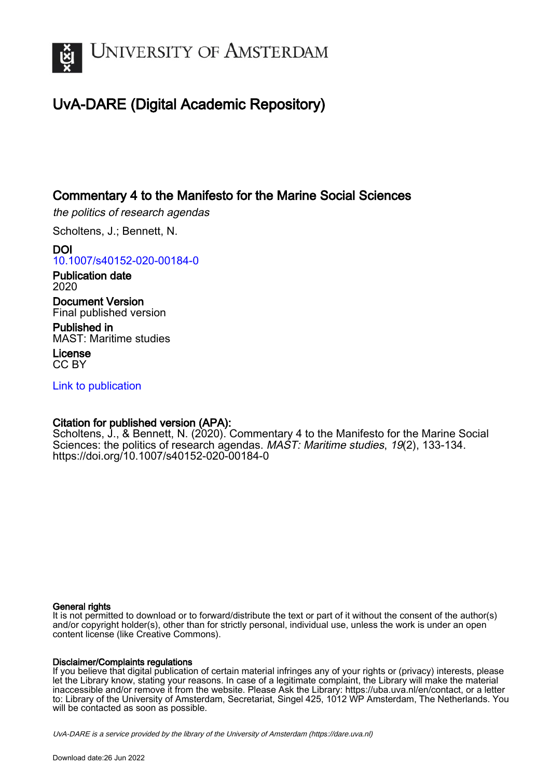

# UvA-DARE (Digital Academic Repository)

## Commentary 4 to the Manifesto for the Marine Social Sciences

the politics of research agendas

Scholtens, J.; Bennett, N.

DOI [10.1007/s40152-020-00184-0](https://doi.org/10.1007/s40152-020-00184-0)

Publication date 2020

Document Version Final published version

Published in MAST: Maritime studies

License CC BY

[Link to publication](https://dare.uva.nl/personal/pure/en/publications/commentary-4-to-the-manifesto-for-the-marine-social-sciences(da14229d-1b4a-4741-93c7-df99e74a3fe2).html)

### Citation for published version (APA):

Scholtens, J., & Bennett, N. (2020). Commentary 4 to the Manifesto for the Marine Social Sciences: the politics of research agendas. MAST: Maritime studies, 19(2), 133-134. <https://doi.org/10.1007/s40152-020-00184-0>

#### General rights

It is not permitted to download or to forward/distribute the text or part of it without the consent of the author(s) and/or copyright holder(s), other than for strictly personal, individual use, unless the work is under an open content license (like Creative Commons).

#### Disclaimer/Complaints regulations

If you believe that digital publication of certain material infringes any of your rights or (privacy) interests, please let the Library know, stating your reasons. In case of a legitimate complaint, the Library will make the material inaccessible and/or remove it from the website. Please Ask the Library: https://uba.uva.nl/en/contact, or a letter to: Library of the University of Amsterdam, Secretariat, Singel 425, 1012 WP Amsterdam, The Netherlands. You will be contacted as soon as possible.

UvA-DARE is a service provided by the library of the University of Amsterdam (http*s*://dare.uva.nl)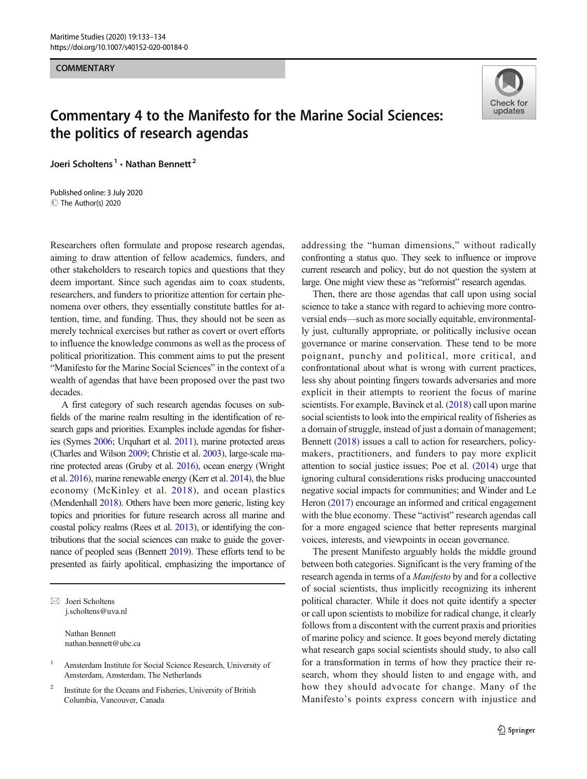#### **COMMENTARY**



# Commentary 4 to the Manifesto for the Marine Social Sciences: the politics of research agendas

Joeri Scholtens<sup>1</sup> . Nathan Bennett<sup>2</sup>

C The Author(s) 2020 Published online: 3 July 2020

Researchers often formulate and propose research agendas, aiming to draw attention of fellow academics, funders, and other stakeholders to research topics and questions that they deem important. Since such agendas aim to coax students, researchers, and funders to prioritize attention for certain phenomena over others, they essentially constitute battles for attention, time, and funding. Thus, they should not be seen as merely technical exercises but rather as covert or overt efforts to influence the knowledge commons as well as the process of political prioritization. This comment aims to put the present "Manifesto for the Marine Social Sciences" in the context of a wealth of agendas that have been proposed over the past two decades.

A first category of such research agendas focuses on subfields of the marine realm resulting in the identification of research gaps and priorities. Examples include agendas for fisheries (Symes [2006;](#page-2-0) Urquhart et al. [2011](#page-2-0)), marine protected areas (Charles and Wilson [2009](#page-2-0); Christie et al. [2003\)](#page-2-0), large-scale marine protected areas (Gruby et al. [2016](#page-2-0)), ocean energy (Wright et al. [2016](#page-2-0)), marine renewable energy (Kerr et al. [2014](#page-2-0)), the blue economy (McKinley et al. [2018\)](#page-2-0), and ocean plastics (Mendenhall [2018\)](#page-2-0). Others have been more generic, listing key topics and priorities for future research across all marine and coastal policy realms (Rees et al. [2013](#page-2-0)), or identifying the contributions that the social sciences can make to guide the governance of peopled seas (Bennett [2019\)](#page-2-0). These efforts tend to be presented as fairly apolitical, emphasizing the importance of

 $\boxtimes$  Joeri Scholtens [j.scholtens@uva.nl](mailto:j.scholtens@uva.nl)

> Nathan Bennett nathan.bennett@ubc.ca

addressing the "human dimensions," without radically confronting a status quo. They seek to influence or improve current research and policy, but do not question the system at large. One might view these as "reformist" research agendas.

Then, there are those agendas that call upon using social science to take a stance with regard to achieving more controversial ends—such as more socially equitable, environmentally just, culturally appropriate, or politically inclusive ocean governance or marine conservation. These tend to be more poignant, punchy and political, more critical, and confrontational about what is wrong with current practices, less shy about pointing fingers towards adversaries and more explicit in their attempts to reorient the focus of marine scientists. For example, Bavinck et al. ([2018](#page-2-0)) call upon marine social scientists to look into the empirical reality of fisheries as a domain of struggle, instead of just a domain of management; Bennett [\(2018\)](#page-2-0) issues a call to action for researchers, policymakers, practitioners, and funders to pay more explicit attention to social justice issues; Poe et al. ([2014](#page-2-0)) urge that ignoring cultural considerations risks producing unaccounted negative social impacts for communities; and Winder and Le Heron ([2017](#page-2-0)) encourage an informed and critical engagement with the blue economy. These "activist" research agendas call for a more engaged science that better represents marginal voices, interests, and viewpoints in ocean governance.

The present Manifesto arguably holds the middle ground between both categories. Significant is the very framing of the research agenda in terms of a Manifesto by and for a collective of social scientists, thus implicitly recognizing its inherent political character. While it does not quite identify a specter or call upon scientists to mobilize for radical change, it clearly follows from a discontent with the current praxis and priorities of marine policy and science. It goes beyond merely dictating what research gaps social scientists should study, to also call for a transformation in terms of how they practice their research, whom they should listen to and engage with, and how they should advocate for change. Many of the Manifesto's points express concern with injustice and

<sup>1</sup> Amsterdam Institute for Social Science Research, University of Amsterdam, Amsterdam, The Netherlands

<sup>&</sup>lt;sup>2</sup> Institute for the Oceans and Fisheries, University of British Columbia, Vancouver, Canada